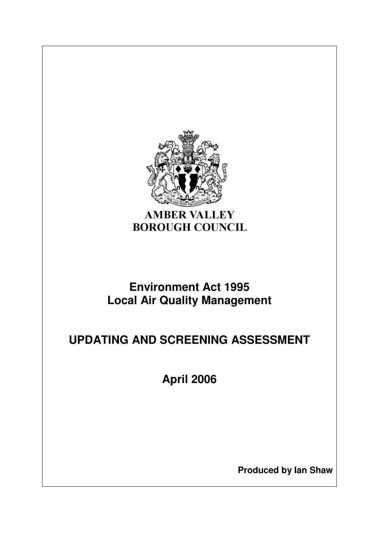

# **AMBER VALLEY BOROUGH COUNCIL**

# **Environment Act 1995 Local Air Quality Management**

# **UPDATING AND SCREENING ASSESSMENT**

**April 2006** 

**Produced by Ian Shaw**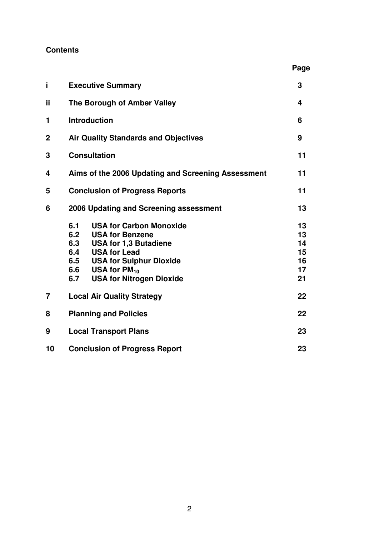# **Contents**

| İ.             | <b>Executive Summary</b>                                                                                                                                                                                                                                                     | 3                                      |
|----------------|------------------------------------------------------------------------------------------------------------------------------------------------------------------------------------------------------------------------------------------------------------------------------|----------------------------------------|
| ii.            | The Borough of Amber Valley                                                                                                                                                                                                                                                  | 4                                      |
| 1              | <b>Introduction</b>                                                                                                                                                                                                                                                          | 6                                      |
| $\mathbf 2$    | <b>Air Quality Standards and Objectives</b>                                                                                                                                                                                                                                  |                                        |
| 3              | <b>Consultation</b>                                                                                                                                                                                                                                                          | 11                                     |
| 4              | Aims of the 2006 Updating and Screening Assessment                                                                                                                                                                                                                           | 11                                     |
| 5              | <b>Conclusion of Progress Reports</b>                                                                                                                                                                                                                                        | 11                                     |
| 6              | 2006 Updating and Screening assessment                                                                                                                                                                                                                                       | 13                                     |
|                | <b>USA for Carbon Monoxide</b><br>6.1<br>6.2<br><b>USA for Benzene</b><br>6.3<br><b>USA for 1,3 Butadiene</b><br>6.4<br><b>USA for Lead</b><br>6.5<br><b>USA for Sulphur Dioxide</b><br>6.6<br><b>USA for <math>PM_{10}</math></b><br><b>USA for Nitrogen Dioxide</b><br>6.7 | 13<br>13<br>14<br>15<br>16<br>17<br>21 |
| $\overline{7}$ | <b>Local Air Quality Strategy</b>                                                                                                                                                                                                                                            | 22                                     |
| 8              | <b>Planning and Policies</b>                                                                                                                                                                                                                                                 | 22                                     |
| 9              | <b>Local Transport Plans</b>                                                                                                                                                                                                                                                 | 23                                     |
| 10             | <b>Conclusion of Progress Report</b>                                                                                                                                                                                                                                         | 23                                     |

 **Page**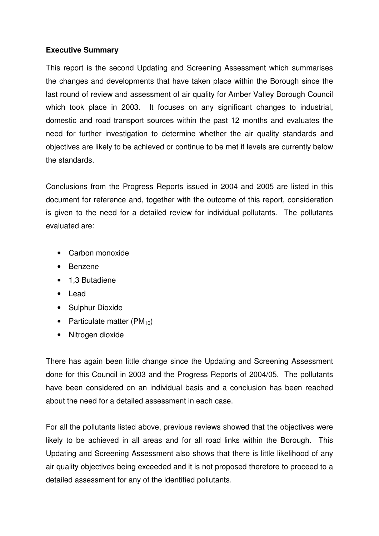### **Executive Summary**

This report is the second Updating and Screening Assessment which summarises the changes and developments that have taken place within the Borough since the last round of review and assessment of air quality for Amber Valley Borough Council which took place in 2003. It focuses on any significant changes to industrial, domestic and road transport sources within the past 12 months and evaluates the need for further investigation to determine whether the air quality standards and objectives are likely to be achieved or continue to be met if levels are currently below the standards.

Conclusions from the Progress Reports issued in 2004 and 2005 are listed in this document for reference and, together with the outcome of this report, consideration is given to the need for a detailed review for individual pollutants. The pollutants evaluated are:

- Carbon monoxide
- Benzene
- 1,3 Butadiene
- Lead
- Sulphur Dioxide
- Particulate matter  $(PM_{10})$
- Nitrogen dioxide

There has again been little change since the Updating and Screening Assessment done for this Council in 2003 and the Progress Reports of 2004/05. The pollutants have been considered on an individual basis and a conclusion has been reached about the need for a detailed assessment in each case.

For all the pollutants listed above, previous reviews showed that the objectives were likely to be achieved in all areas and for all road links within the Borough. This Updating and Screening Assessment also shows that there is little likelihood of any air quality objectives being exceeded and it is not proposed therefore to proceed to a detailed assessment for any of the identified pollutants.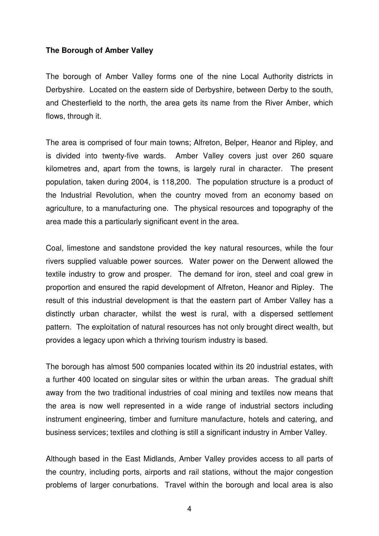#### **The Borough of Amber Valley**

The borough of Amber Valley forms one of the nine Local Authority districts in Derbyshire. Located on the eastern side of Derbyshire, between Derby to the south, and Chesterfield to the north, the area gets its name from the River Amber, which flows, through it.

The area is comprised of four main towns; Alfreton, Belper, Heanor and Ripley, and is divided into twenty-five wards. Amber Valley covers just over 260 square kilometres and, apart from the towns, is largely rural in character. The present population, taken during 2004, is 118,200. The population structure is a product of the Industrial Revolution, when the country moved from an economy based on agriculture, to a manufacturing one. The physical resources and topography of the area made this a particularly significant event in the area.

Coal, limestone and sandstone provided the key natural resources, while the four rivers supplied valuable power sources. Water power on the Derwent allowed the textile industry to grow and prosper. The demand for iron, steel and coal grew in proportion and ensured the rapid development of Alfreton, Heanor and Ripley. The result of this industrial development is that the eastern part of Amber Valley has a distinctly urban character, whilst the west is rural, with a dispersed settlement pattern. The exploitation of natural resources has not only brought direct wealth, but provides a legacy upon which a thriving tourism industry is based.

The borough has almost 500 companies located within its 20 industrial estates, with a further 400 located on singular sites or within the urban areas. The gradual shift away from the two traditional industries of coal mining and textiles now means that the area is now well represented in a wide range of industrial sectors including instrument engineering, timber and furniture manufacture, hotels and catering, and business services; textiles and clothing is still a significant industry in Amber Valley.

Although based in the East Midlands, Amber Valley provides access to all parts of the country, including ports, airports and rail stations, without the major congestion problems of larger conurbations. Travel within the borough and local area is also

4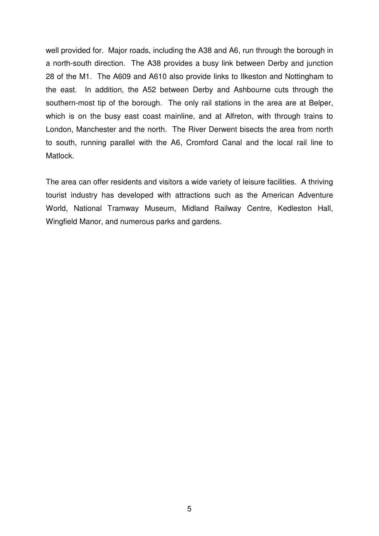well provided for. Major roads, including the A38 and A6, run through the borough in a north-south direction. The A38 provides a busy link between Derby and junction 28 of the M1. The A609 and A610 also provide links to Ilkeston and Nottingham to the east. In addition, the A52 between Derby and Ashbourne cuts through the southern-most tip of the borough. The only rail stations in the area are at Belper, which is on the busy east coast mainline, and at Alfreton, with through trains to London, Manchester and the north. The River Derwent bisects the area from north to south, running parallel with the A6, Cromford Canal and the local rail line to Matlock.

The area can offer residents and visitors a wide variety of leisure facilities. A thriving tourist industry has developed with attractions such as the American Adventure World, National Tramway Museum, Midland Railway Centre, Kedleston Hall, Wingfield Manor, and numerous parks and gardens.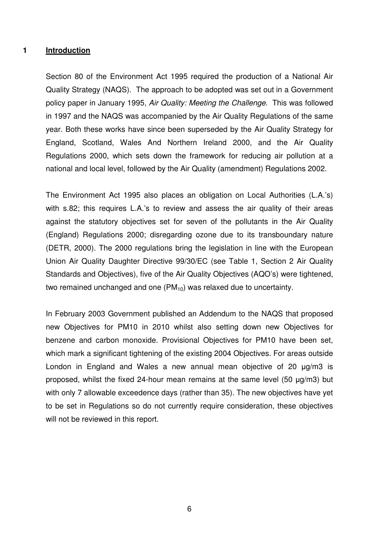#### **1 Introduction**

Section 80 of the Environment Act 1995 required the production of a National Air Quality Strategy (NAQS). The approach to be adopted was set out in a Government policy paper in January 1995, Air Quality: Meeting the Challenge. This was followed in 1997 and the NAQS was accompanied by the Air Quality Regulations of the same year. Both these works have since been superseded by the Air Quality Strategy for England, Scotland, Wales And Northern Ireland 2000, and the Air Quality Regulations 2000, which sets down the framework for reducing air pollution at a national and local level, followed by the Air Quality (amendment) Regulations 2002.

The Environment Act 1995 also places an obligation on Local Authorities (L.A.'s) with s.82; this requires L.A.'s to review and assess the air quality of their areas against the statutory objectives set for seven of the pollutants in the Air Quality (England) Regulations 2000; disregarding ozone due to its transboundary nature (DETR, 2000). The 2000 regulations bring the legislation in line with the European Union Air Quality Daughter Directive 99/30/EC (see Table 1, Section 2 Air Quality Standards and Objectives), five of the Air Quality Objectives (AQO's) were tightened, two remained unchanged and one  $(PM_{10})$  was relaxed due to uncertainty.

In February 2003 Government published an Addendum to the NAQS that proposed new Objectives for PM10 in 2010 whilst also setting down new Objectives for benzene and carbon monoxide. Provisional Objectives for PM10 have been set, which mark a significant tightening of the existing 2004 Objectives. For areas outside London in England and Wales a new annual mean objective of 20  $\mu q/m3$  is proposed, whilst the fixed 24-hour mean remains at the same level (50 µg/m3) but with only 7 allowable exceedence days (rather than 35). The new objectives have yet to be set in Regulations so do not currently require consideration, these objectives will not be reviewed in this report.

6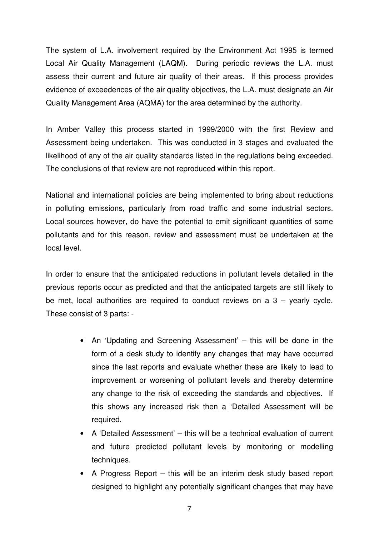The system of L.A. involvement required by the Environment Act 1995 is termed Local Air Quality Management (LAQM). During periodic reviews the L.A. must assess their current and future air quality of their areas. If this process provides evidence of exceedences of the air quality objectives, the L.A. must designate an Air Quality Management Area (AQMA) for the area determined by the authority.

In Amber Valley this process started in 1999/2000 with the first Review and Assessment being undertaken. This was conducted in 3 stages and evaluated the likelihood of any of the air quality standards listed in the regulations being exceeded. The conclusions of that review are not reproduced within this report.

National and international policies are being implemented to bring about reductions in polluting emissions, particularly from road traffic and some industrial sectors. Local sources however, do have the potential to emit significant quantities of some pollutants and for this reason, review and assessment must be undertaken at the local level.

In order to ensure that the anticipated reductions in pollutant levels detailed in the previous reports occur as predicted and that the anticipated targets are still likely to be met, local authorities are required to conduct reviews on a  $3 -$  yearly cycle. These consist of 3 parts: -

- An 'Updating and Screening Assessment' this will be done in the form of a desk study to identify any changes that may have occurred since the last reports and evaluate whether these are likely to lead to improvement or worsening of pollutant levels and thereby determine any change to the risk of exceeding the standards and objectives. If this shows any increased risk then a 'Detailed Assessment will be required.
- A 'Detailed Assessment' this will be a technical evaluation of current and future predicted pollutant levels by monitoring or modelling techniques.
- A Progress Report this will be an interim desk study based report designed to highlight any potentially significant changes that may have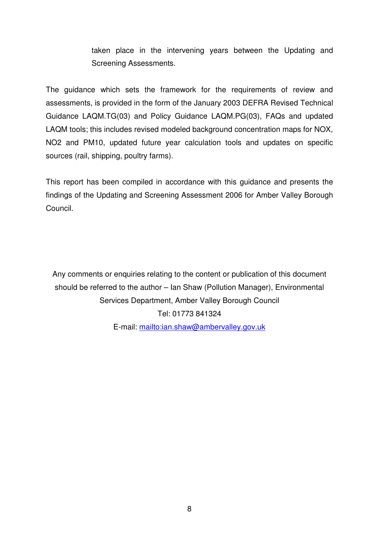taken place in the intervening years between the Updating and Screening Assessments.

The guidance which sets the framework for the requirements of review and assessments, is provided in the form of the January 2003 DEFRA Revised Technical Guidance LAQM.TG(03) and Policy Guidance LAQM.PG(03), FAQs and updated LAQM tools; this includes revised modeled background concentration maps for NOX, NO2 and PM10, updated future year calculation tools and updates on specific sources (rail, shipping, poultry farms).

This report has been compiled in accordance with this guidance and presents the findings of the Updating and Screening Assessment 2006 for Amber Valley Borough Council.

Any comments or enquiries relating to the content or publication of this document should be referred to the author – Ian Shaw (Pollution Manager), Environmental Services Department, Amber Valley Borough Council Tel: 01773 841324 E-mail: mailto:ian.shaw@ambervalley.gov.uk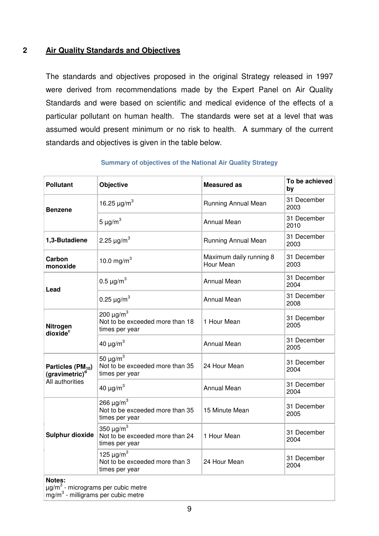#### **2 Air Quality Standards and Objectives**

The standards and objectives proposed in the original Strategy released in 1997 were derived from recommendations made by the Expert Panel on Air Quality Standards and were based on scientific and medical evidence of the effects of a particular pollutant on human health. The standards were set at a level that was assumed would present minimum or no risk to health. A summary of the current standards and objectives is given in the table below.

| <b>Pollutant</b>                                            | <b>Objective</b>                                                                | <b>Measured as</b>                   | To be achieved<br>bν |
|-------------------------------------------------------------|---------------------------------------------------------------------------------|--------------------------------------|----------------------|
| <b>Benzene</b>                                              | 16.25 $\mu$ g/m <sup>3</sup>                                                    | Running Annual Mean                  | 31 December<br>2003  |
|                                                             | 5 $\mu$ g/m <sup>3</sup>                                                        | <b>Annual Mean</b>                   | 31 December<br>2010  |
| 1,3-Butadiene                                               | 2.25 $\mu$ g/m <sup>3</sup>                                                     | Running Annual Mean                  | 31 December<br>2003  |
| Carbon<br>monoxide                                          | 10.0 mg/m <sup>3</sup>                                                          | Maximum daily running 8<br>Hour Mean | 31 December<br>2003  |
| Lead                                                        | 0.5 $\mu$ g/m <sup>3</sup>                                                      | <b>Annual Mean</b>                   | 31 December<br>2004  |
|                                                             | 0.25 $\mu$ g/m <sup>3</sup>                                                     | <b>Annual Mean</b>                   | 31 December<br>2008  |
| Nitrogen<br>dioxide <sup>c</sup>                            | 200 $\mu$ g/m <sup>3</sup><br>Not to be exceeded more than 18<br>times per year | 1 Hour Mean                          | 31 December<br>2005  |
|                                                             | 40 $\mu$ g/m <sup>3</sup>                                                       | <b>Annual Mean</b>                   | 31 December<br>2005  |
| Particles (PM <sub>10</sub> )<br>(gravimetric) <sup>d</sup> | 50 $\mu$ g/m <sup>3</sup><br>Not to be exceeded more than 35<br>times per year  | 24 Hour Mean                         | 31 December<br>2004  |
| All authorities                                             | 40 $\mu$ g/m <sup>3</sup>                                                       | <b>Annual Mean</b>                   | 31 December<br>2004  |
|                                                             | 266 $\mu$ g/m <sup>3</sup><br>Not to be exceeded more than 35<br>times per year | 15 Minute Mean                       | 31 December<br>2005  |
| <b>Sulphur dioxide</b>                                      | 350 $\mu$ g/m <sup>3</sup><br>Not to be exceeded more than 24<br>times per year | 1 Hour Mean                          | 31 December<br>2004  |
|                                                             | 125 $\mu$ g/m <sup>3</sup><br>Not to be exceeded more than 3<br>times per year  | 24 Hour Mean                         | 31 December<br>2004  |
| Notes:                                                      |                                                                                 |                                      |                      |

#### **Summary of objectives of the National Air Quality Strategy**

µg/m<sup>3</sup> - micrograms per cubic metre

mg/m<sup>3</sup> - milligrams per cubic metre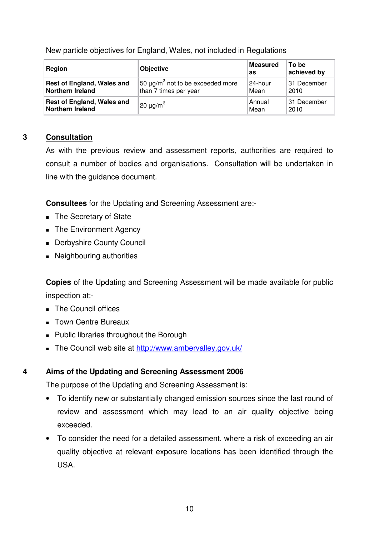## New particle objectives for England, Wales, not included in Regulations

| Region                            | <b>Objective</b>                                   | <b>Measured</b><br>as | To be<br>achieved by |
|-----------------------------------|----------------------------------------------------|-----------------------|----------------------|
| <b>Rest of England, Wales and</b> | $\frac{1}{2}$ 50 µg/m $^3$ not to be exceeded more | 24-hour               | 31 December          |
| <b>Northern Ireland</b>           | than 7 times per year                              | Mean                  | 2010                 |
| Rest of England, Wales and        | 20 $\mu$ g/m <sup>3</sup>                          | Annual                | 31 December          |
| <b>Northern Ireland</b>           |                                                    | Mean                  | 2010                 |

## **3 Consultation**

As with the previous review and assessment reports, authorities are required to consult a number of bodies and organisations. Consultation will be undertaken in line with the guidance document.

**Consultees** for the Updating and Screening Assessment are:-

- The Secretary of State
- The Environment Agency
- **Derbyshire County Council**
- **Neighbouring authorities**

**Copies** of the Updating and Screening Assessment will be made available for public inspection at:-

- **Face The Council offices**
- **Town Centre Bureaux**
- **Public libraries throughout the Borough**
- The Council web site at http://www.ambervalley.gov.uk/

# **4 Aims of the Updating and Screening Assessment 2006**

The purpose of the Updating and Screening Assessment is:

- To identify new or substantially changed emission sources since the last round of review and assessment which may lead to an air quality objective being exceeded.
- To consider the need for a detailed assessment, where a risk of exceeding an air quality objective at relevant exposure locations has been identified through the USA.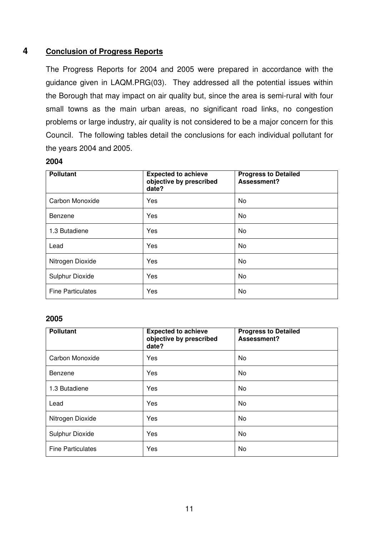### **4 Conclusion of Progress Reports**

The Progress Reports for 2004 and 2005 were prepared in accordance with the guidance given in LAQM.PRG(03). They addressed all the potential issues within the Borough that may impact on air quality but, since the area is semi-rural with four small towns as the main urban areas, no significant road links, no congestion problems or large industry, air quality is not considered to be a major concern for this Council. The following tables detail the conclusions for each individual pollutant for the years 2004 and 2005.

#### **2004**

| <b>Pollutant</b>         | <b>Expected to achieve</b><br>objective by prescribed<br>date? | <b>Progress to Detailed</b><br>Assessment? |
|--------------------------|----------------------------------------------------------------|--------------------------------------------|
| Carbon Monoxide          | Yes                                                            | No                                         |
| Benzene                  | Yes                                                            | No                                         |
| 1.3 Butadiene            | Yes                                                            | No                                         |
| Lead                     | Yes                                                            | No                                         |
| Nitrogen Dioxide         | Yes                                                            | No                                         |
| Sulphur Dioxide          | Yes                                                            | No                                         |
| <b>Fine Particulates</b> | Yes                                                            | No                                         |

#### **2005**

| <b>Pollutant</b>         | <b>Expected to achieve</b><br>objective by prescribed<br>date? | <b>Progress to Detailed</b><br>Assessment? |
|--------------------------|----------------------------------------------------------------|--------------------------------------------|
| Carbon Monoxide          | Yes                                                            | No                                         |
| Benzene                  | Yes                                                            | No                                         |
| 1.3 Butadiene            | Yes                                                            | No                                         |
| Lead                     | Yes                                                            | N <sub>0</sub>                             |
| Nitrogen Dioxide         | Yes                                                            | No                                         |
| Sulphur Dioxide          | Yes                                                            | No                                         |
| <b>Fine Particulates</b> | Yes                                                            | No                                         |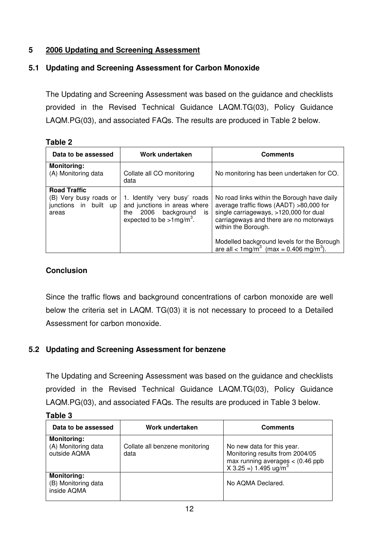# **5 2006 Updating and Screening Assessment**

## **5.1 Updating and Screening Assessment for Carbon Monoxide**

The Updating and Screening Assessment was based on the guidance and checklists provided in the Revised Technical Guidance LAQM.TG(03), Policy Guidance LAQM.PG(03), and associated FAQs. The results are produced in Table 2 below.

#### **Table 2**

| Data to be assessed                                                             | Work undertaken                                                                                                                             | <b>Comments</b>                                                                                                                                                                                                                                                                                            |
|---------------------------------------------------------------------------------|---------------------------------------------------------------------------------------------------------------------------------------------|------------------------------------------------------------------------------------------------------------------------------------------------------------------------------------------------------------------------------------------------------------------------------------------------------------|
| <b>Monitoring:</b><br>(A) Monitoring data                                       | Collate all CO monitoring<br>data                                                                                                           | No monitoring has been undertaken for CO.                                                                                                                                                                                                                                                                  |
| <b>Road Traffic</b><br>(B) Very busy roads or<br>junctions in built up<br>areas | 1. Identify 'very busy' roads<br>and junctions in areas where<br>2006<br>background<br>the<br>is<br>expected to be $>1$ mg/m <sup>3</sup> . | No road links within the Borough have daily<br>average traffic flows (AADT) >80,000 for<br>single carriageways, >120,000 for dual<br>carriageways and there are no motorways<br>within the Borough.<br>Modelled background levels for the Borough<br>are all < $1mg/m^3$ (max = 0.406 mg/m <sup>3</sup> ). |

#### **Conclusion**

Since the traffic flows and background concentrations of carbon monoxide are well below the criteria set in LAQM. TG(03) it is not necessary to proceed to a Detailed Assessment for carbon monoxide.

#### **5.2 Updating and Screening Assessment for benzene**

The Updating and Screening Assessment was based on the guidance and checklists provided in the Revised Technical Guidance LAQM.TG(03), Policy Guidance LAQM.PG(03), and associated FAQs. The results are produced in Table 3 below.

| able |  |
|------|--|
|------|--|

| Data to be assessed                                       | Work undertaken                        | <b>Comments</b>                                                                                                                             |
|-----------------------------------------------------------|----------------------------------------|---------------------------------------------------------------------------------------------------------------------------------------------|
| <b>Monitoring:</b><br>(A) Monitoring data<br>outside AQMA | Collate all benzene monitoring<br>data | No new data for this year.<br>Monitoring results from 2004/05<br>max running averages < $(0.46$ ppb<br>X 3.25 = $)$ 1.495 ug/m <sup>3</sup> |
| <b>Monitoring:</b><br>(B) Monitoring data<br>inside AQMA  |                                        | No AQMA Declared.                                                                                                                           |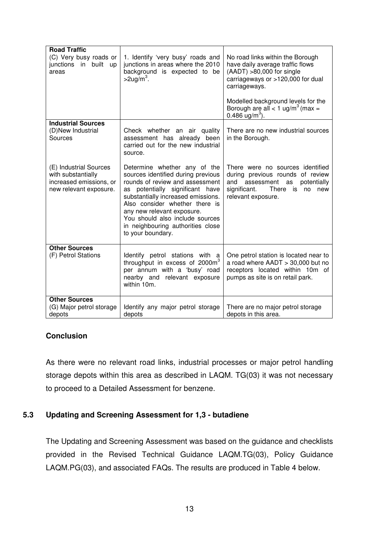| <b>Road Traffic</b><br>(C) Very busy roads or<br>junctions in built up<br>areas                   | 1. Identify 'very busy' roads and<br>junctions in areas where the 2010<br>background is expected to be<br>$>$ 2ug/m <sup>3</sup> .                                                                                                                                                                                                          | No road links within the Borough<br>have daily average traffic flows<br>(AADT) >80,000 for single<br>carriageways or >120,000 for dual<br>carriageways.<br>Modelled background levels for the<br>Borough are all < 1 ug/m <sup>3</sup> (max =<br>0.486 ug/m <sup>3</sup> ). |
|---------------------------------------------------------------------------------------------------|---------------------------------------------------------------------------------------------------------------------------------------------------------------------------------------------------------------------------------------------------------------------------------------------------------------------------------------------|-----------------------------------------------------------------------------------------------------------------------------------------------------------------------------------------------------------------------------------------------------------------------------|
| <b>Industrial Sources</b>                                                                         |                                                                                                                                                                                                                                                                                                                                             |                                                                                                                                                                                                                                                                             |
| (D)New Industrial<br>Sources                                                                      | Check whether an air quality<br>assessment has already been<br>carried out for the new industrial<br>source.                                                                                                                                                                                                                                | There are no new industrial sources<br>in the Borough.                                                                                                                                                                                                                      |
| (E) Industrial Sources<br>with substantially<br>increased emissions, or<br>new relevant exposure. | Determine whether any of the<br>sources identified during previous<br>rounds of review and assessment<br>as potentially significant have<br>substantially increased emissions.<br>Also consider whether there is<br>any new relevant exposure.<br>You should also include sources<br>in neighbouring authorities close<br>to your boundary. | There were no sources identified<br>during previous rounds of review<br>and<br>assessment<br>as<br>potentially<br>significant.<br>There is no<br>new<br>relevant exposure.                                                                                                  |
| <b>Other Sources</b>                                                                              |                                                                                                                                                                                                                                                                                                                                             |                                                                                                                                                                                                                                                                             |
| (F) Petrol Stations                                                                               | Identify petrol stations with a<br>throughput in excess of 2000m <sup>3</sup><br>per annum with a 'busy' road<br>nearby and relevant exposure<br>within 10m.                                                                                                                                                                                | One petrol station is located near to<br>a road where AADT > 30,000 but no<br>receptors located within 10m of<br>pumps as site is on retail park.                                                                                                                           |
| <b>Other Sources</b>                                                                              |                                                                                                                                                                                                                                                                                                                                             |                                                                                                                                                                                                                                                                             |
| (G) Major petrol storage<br>depots                                                                | Identify any major petrol storage<br>depots                                                                                                                                                                                                                                                                                                 | There are no major petrol storage<br>depots in this area.                                                                                                                                                                                                                   |

As there were no relevant road links, industrial processes or major petrol handling storage depots within this area as described in LAQM. TG(03) it was not necessary to proceed to a Detailed Assessment for benzene.

#### **5.3 Updating and Screening Assessment for 1,3 - butadiene**

The Updating and Screening Assessment was based on the guidance and checklists provided in the Revised Technical Guidance LAQM.TG(03), Policy Guidance LAQM.PG(03), and associated FAQs. The results are produced in Table 4 below.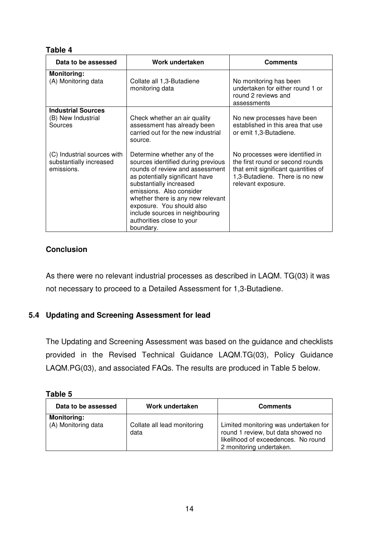#### **Table 4**

| Data to be assessed                                                  | Work undertaken                                                                                                                                                                                                                                                                                                                                | Comments                                                                                                                                                           |  |
|----------------------------------------------------------------------|------------------------------------------------------------------------------------------------------------------------------------------------------------------------------------------------------------------------------------------------------------------------------------------------------------------------------------------------|--------------------------------------------------------------------------------------------------------------------------------------------------------------------|--|
| <b>Monitoring:</b><br>(A) Monitoring data                            | Collate all 1,3-Butadiene<br>monitoring data                                                                                                                                                                                                                                                                                                   | No monitoring has been<br>undertaken for either round 1 or<br>round 2 reviews and<br>assessments                                                                   |  |
| <b>Industrial Sources</b><br>(B) New Industrial<br>Sources           | Check whether an air quality<br>assessment has already been<br>carried out for the new industrial<br>source.                                                                                                                                                                                                                                   | No new processes have been<br>established in this area that use<br>or emit 1,3-Butadiene.                                                                          |  |
| (C) Industrial sources with<br>substantially increased<br>emissions. | Determine whether any of the<br>sources identified during previous<br>rounds of review and assessment<br>as potentially significant have<br>substantially increased<br>emissions. Also consider<br>whether there is any new relevant<br>exposure. You should also<br>include sources in neighbouring<br>authorities close to your<br>boundary. | No processes were identified in<br>the first round or second rounds<br>that emit significant quantities of<br>1,3-Butadiene. There is no new<br>relevant exposure. |  |

# **Conclusion**

As there were no relevant industrial processes as described in LAQM. TG(03) it was not necessary to proceed to a Detailed Assessment for 1,3-Butadiene.

# **5.4 Updating and Screening Assessment for lead**

The Updating and Screening Assessment was based on the guidance and checklists provided in the Revised Technical Guidance LAQM.TG(03), Policy Guidance LAQM.PG(03), and associated FAQs. The results are produced in Table 5 below.

| IDI |  |  |  |  |
|-----|--|--|--|--|
|-----|--|--|--|--|

| Data to be assessed                       | Work undertaken                     | <b>Comments</b>                                                                                                                                |
|-------------------------------------------|-------------------------------------|------------------------------------------------------------------------------------------------------------------------------------------------|
| <b>Monitoring:</b><br>(A) Monitoring data | Collate all lead monitoring<br>data | Limited monitoring was undertaken for<br>round 1 review, but data showed no<br>likelihood of exceedences. No round<br>2 monitoring undertaken. |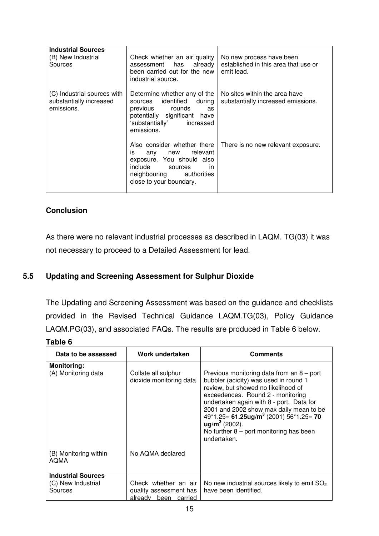| <b>Industrial Sources</b><br>(B) New Industrial<br>Sources           | Check whether an air quality<br>assessment has already<br>been carried out for the new<br>industrial source.                                                                  | No new process have been<br>established in this area that use or<br>emit lead. |
|----------------------------------------------------------------------|-------------------------------------------------------------------------------------------------------------------------------------------------------------------------------|--------------------------------------------------------------------------------|
| (C) Industrial sources with<br>substantially increased<br>emissions. | Determine whether any of the<br>sources identified<br>during<br>previous rounds<br>as<br>potentially significant<br>have<br>'substantially' increased<br>emissions.           | No sites within the area have<br>substantially increased emissions.            |
|                                                                      | Also consider whether there<br>any new relevant<br>İS.<br>exposure. You should also<br>include<br>sources<br><i>in</i><br>neighbouring authorities<br>close to your boundary. | There is no new relevant exposure.                                             |

As there were no relevant industrial processes as described in LAQM. TG(03) it was not necessary to proceed to a Detailed Assessment for lead.

#### **5.5 Updating and Screening Assessment for Sulphur Dioxide**

The Updating and Screening Assessment was based on the guidance and checklists provided in the Revised Technical Guidance LAQM.TG(03), Policy Guidance LAQM.PG(03), and associated FAQs. The results are produced in Table 6 below.

#### **Table 6**

| Data to be assessed                                        | Work undertaken                                                           | <b>Comments</b>                                                                                                                                                                                                                                                                                                                                                                                                 |
|------------------------------------------------------------|---------------------------------------------------------------------------|-----------------------------------------------------------------------------------------------------------------------------------------------------------------------------------------------------------------------------------------------------------------------------------------------------------------------------------------------------------------------------------------------------------------|
| <b>Monitoring:</b><br>(A) Monitoring data                  | Collate all sulphur<br>dioxide monitoring data                            | Previous monitoring data from an $8$ – port<br>bubbler (acidity) was used in round 1<br>review, but showed no likelihood of<br>exceedences. Round 2 - monitoring<br>undertaken again with 8 - port. Data for<br>2001 and 2002 show max daily mean to be<br>$49*1.25 = 61.25$ ug/m <sup>3</sup> (2001) 56*1.25= 70<br>$\mu$ g/m <sup>3</sup> (2002).<br>No further $8$ – port monitoring has been<br>undertaken. |
| (B) Monitoring within<br><b>AOMA</b>                       | No AQMA declared                                                          |                                                                                                                                                                                                                                                                                                                                                                                                                 |
| <b>Industrial Sources</b><br>(C) New Industrial<br>Sources | Check whether an air<br>quality assessment has<br>alreadv been<br>carried | No new industrial sources likely to emit SO <sub>2</sub><br>have been identified.                                                                                                                                                                                                                                                                                                                               |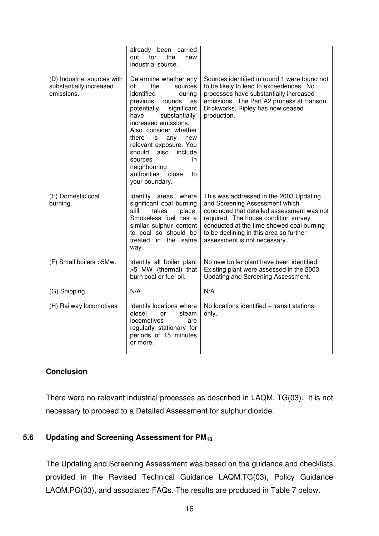|                                                                      | already been carried<br>for<br>out<br>the<br>new<br>industrial source.                                                                                                                                                                                                                                                                                                        |                                                                                                                                                                                                                                                                                         |
|----------------------------------------------------------------------|-------------------------------------------------------------------------------------------------------------------------------------------------------------------------------------------------------------------------------------------------------------------------------------------------------------------------------------------------------------------------------|-----------------------------------------------------------------------------------------------------------------------------------------------------------------------------------------------------------------------------------------------------------------------------------------|
| (D) Industrial sources with<br>substantially increased<br>emissions. | Determine whether any<br>οf<br>the<br>sources<br>identified<br>during<br>previous<br>rounds<br>as<br>potentially<br>significant<br>'substantially'<br>have<br>increased emissions.<br>Also consider whether<br>there<br>is<br>any<br>new<br>relevant exposure. You<br>should also<br>include<br>sources<br>in<br>neighbouring<br>close<br>authorities<br>to<br>your boundary. | Sources identified in round 1 were found not<br>to be likely to lead to exceedences. No<br>processes have substantially increased<br>emissions. The Part A2 process at Hanson<br>Brickworks, Ripley has now ceased<br>production.                                                       |
| (E) Domestic coal<br>burning.                                        | Identify areas where<br>significant coal burning<br>still<br>takes<br>place.<br>Smokeless fuel has a<br>similar sulphur content<br>to coal so should be<br>treated<br>in the same<br>way.                                                                                                                                                                                     | This was addressed in the 2003 Updating<br>and Screening Assessment which<br>concluded that detailed assessment was not<br>required. The house condition survey<br>conducted at the time showed coal burning<br>to be declining in this area so further<br>assessment is not necessary. |
| (F) Small boilers > 5Mw.                                             | Identify all boiler plant<br>>5 MW (thermal) that<br>burn coal or fuel oil.                                                                                                                                                                                                                                                                                                   | No new boiler plant have been identified.<br>Existing plant were assessed in the 2003<br>Updating and Screening Assessment.                                                                                                                                                             |
| (G) Shipping                                                         | N/A                                                                                                                                                                                                                                                                                                                                                                           | N/A                                                                                                                                                                                                                                                                                     |
| (H) Railway locomotives                                              | Identify locations where<br>diesel<br>steam<br>or<br>locomotives<br>are<br>regularly stationary for<br>periods of 15 minutes<br>or more.                                                                                                                                                                                                                                      | No locations identified - transit stations<br>only.                                                                                                                                                                                                                                     |

There were no relevant industrial processes as described in LAQM. TG(03). It is not necessary to proceed to a Detailed Assessment for sulphur dioxide.

# **5.6 Updating and Screening Assessment for PM<sup>10</sup>**

The Updating and Screening Assessment was based on the guidance and checklists provided in the Revised Technical Guidance LAQM.TG(03), Policy Guidance LAQM.PG(03), and associated FAQs. The results are produced in Table 7 below.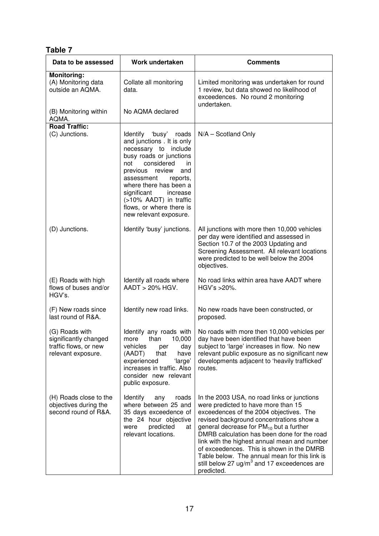# **Table 7**

| Data to be assessed                                                                    | Work undertaken                                                                                                                                                                                                                                                                                                            | <b>Comments</b>                                                                                                                                                                                                                                                                                                                                                                                                                                                                                      |
|----------------------------------------------------------------------------------------|----------------------------------------------------------------------------------------------------------------------------------------------------------------------------------------------------------------------------------------------------------------------------------------------------------------------------|------------------------------------------------------------------------------------------------------------------------------------------------------------------------------------------------------------------------------------------------------------------------------------------------------------------------------------------------------------------------------------------------------------------------------------------------------------------------------------------------------|
| <b>Monitoring:</b><br>(A) Monitoring data<br>outside an AQMA.                          | Collate all monitoring<br>Limited monitoring was undertaken for round<br>1 review, but data showed no likelihood of<br>data.<br>exceedences. No round 2 monitoring<br>undertaken.                                                                                                                                          |                                                                                                                                                                                                                                                                                                                                                                                                                                                                                                      |
| (B) Monitoring within<br>AQMA.                                                         | No AQMA declared                                                                                                                                                                                                                                                                                                           |                                                                                                                                                                                                                                                                                                                                                                                                                                                                                                      |
| <b>Road Traffic:</b><br>(C) Junctions.                                                 | Identify 'busy' roads<br>and junctions . It is only<br>necessary to include<br>busy roads or junctions<br>considered<br>not<br>in<br>previous review<br>and<br>assessment<br>reports,<br>where there has been a<br>significant<br>increase<br>(>10% AADT) in traffic<br>flows, or where there is<br>new relevant exposure. | $N/A -$ Scotland Only                                                                                                                                                                                                                                                                                                                                                                                                                                                                                |
| (D) Junctions.                                                                         | Identify 'busy' junctions.                                                                                                                                                                                                                                                                                                 | All junctions with more then 10,000 vehicles<br>per day were identified and assessed in<br>Section 10.7 of the 2003 Updating and<br>Screening Assessment. All relevant locations<br>were predicted to be well below the 2004<br>objectives.                                                                                                                                                                                                                                                          |
| (E) Roads with high<br>flows of buses and/or<br>HGV's.                                 | Identify all roads where<br>AADT > 20% HGV.                                                                                                                                                                                                                                                                                | No road links within area have AADT where<br>$HGV's > 20\%$ .                                                                                                                                                                                                                                                                                                                                                                                                                                        |
| (F) New roads since<br>last round of R&A.                                              | Identify new road links.                                                                                                                                                                                                                                                                                                   | No new roads have been constructed, or<br>proposed.                                                                                                                                                                                                                                                                                                                                                                                                                                                  |
| (G) Roads with<br>significantly changed<br>traffic flows, or new<br>relevant exposure. | Identify any roads with<br>more than 10,000<br>vehicles<br>day<br>per<br>(AADT)<br>that<br>have<br>experienced<br>'large'<br>increases in traffic. Also<br>consider new relevant<br>public exposure.                                                                                                                       | No roads with more then 10,000 vehicles per<br>day have been identified that have been<br>subject to 'large' increases in flow. No new<br>relevant public exposure as no significant new<br>developments adjacent to 'heavily trafficked'<br>routes.                                                                                                                                                                                                                                                 |
| (H) Roads close to the<br>objectives during the<br>second round of R&A.                | Identify<br>roads<br>any<br>where between 25 and<br>35 days exceedence of<br>the 24 hour objective<br>predicted<br>at<br>were<br>relevant locations.                                                                                                                                                                       | In the 2003 USA, no road links or junctions<br>were predicted to have more than 15<br>exceedences of the 2004 objectives. The<br>revised background concentrations show a<br>general decrease for $PM_{10}$ but a further<br>DMRB calculation has been done for the road<br>link with the highest annual mean and number<br>of exceedences. This is shown in the DMRB<br>Table below. The annual mean for this link is<br>still below 27 $\mu$ g/m <sup>3</sup> and 17 exceedences are<br>predicted. |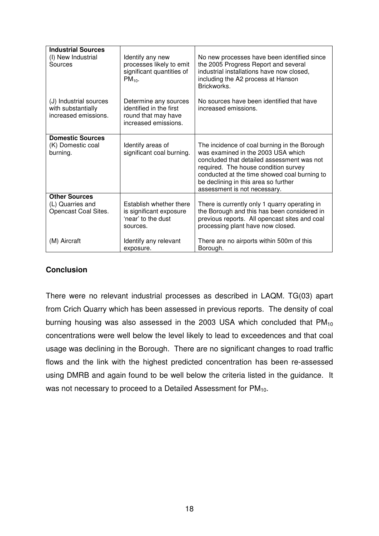| <b>Industrial Sources</b><br>(I) New Industrial<br>Sources           | Identify any new<br>processes likely to emit<br>significant quantities of<br>$PM_{10}$ .        | No new processes have been identified since<br>the 2005 Progress Report and several<br>industrial installations have now closed,<br>including the A2 process at Hanson<br>Brickworks.                                                                                                            |
|----------------------------------------------------------------------|-------------------------------------------------------------------------------------------------|--------------------------------------------------------------------------------------------------------------------------------------------------------------------------------------------------------------------------------------------------------------------------------------------------|
| (J) Industrial sources<br>with substantially<br>increased emissions. | Determine any sources<br>identified in the first<br>round that may have<br>increased emissions. | No sources have been identified that have<br>increased emissions.                                                                                                                                                                                                                                |
| <b>Domestic Sources</b><br>(K) Domestic coal<br>burning.             | Identify areas of<br>significant coal burning.                                                  | The incidence of coal burning in the Borough<br>was examined in the 2003 USA which<br>concluded that detailed assessment was not<br>required. The house condition survey<br>conducted at the time showed coal burning to<br>be declining in this area so further<br>assessment is not necessary. |
| <b>Other Sources</b><br>(L) Quarries and<br>Opencast Coal Sites.     | Establish whether there<br>is significant exposure<br>'near' to the dust<br>sources.            | There is currently only 1 quarry operating in<br>the Borough and this has been considered in<br>previous reports. All opencast sites and coal<br>processing plant have now closed.                                                                                                               |
| (M) Aircraft                                                         | Identify any relevant<br>exposure.                                                              | There are no airports within 500m of this<br>Borough.                                                                                                                                                                                                                                            |

There were no relevant industrial processes as described in LAQM. TG(03) apart from Crich Quarry which has been assessed in previous reports. The density of coal burning housing was also assessed in the 2003 USA which concluded that  $PM_{10}$ concentrations were well below the level likely to lead to exceedences and that coal usage was declining in the Borough. There are no significant changes to road traffic flows and the link with the highest predicted concentration has been re-assessed using DMRB and again found to be well below the criteria listed in the guidance. It was not necessary to proceed to a Detailed Assessment for  $PM_{10}$ .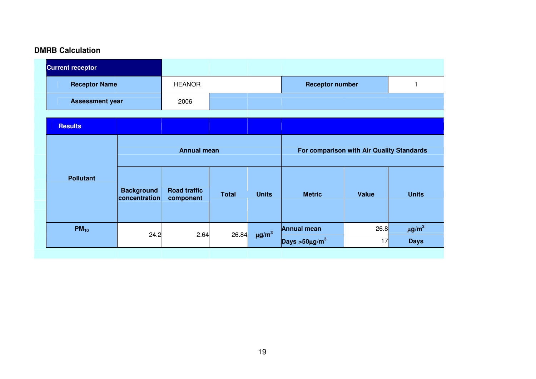# **DMRB Calculation**

| <b>Current receptor</b> |                                    |                                  |              |                                           |                      |              |              |
|-------------------------|------------------------------------|----------------------------------|--------------|-------------------------------------------|----------------------|--------------|--------------|
| <b>Receptor Name</b>    |                                    | <b>HEANOR</b>                    |              | <b>Receptor number</b>                    |                      | 1            |              |
| <b>Assessment year</b>  |                                    | 2006                             |              |                                           |                      |              |              |
|                         |                                    |                                  |              |                                           |                      |              |              |
| <b>Results</b>          |                                    |                                  |              |                                           |                      |              |              |
|                         |                                    | <b>Annual mean</b>               |              | For comparison with Air Quality Standards |                      |              |              |
| <b>Pollutant</b>        | <b>Background</b><br>concentration | <b>Road traffic</b><br>component | <b>Total</b> | <b>Units</b>                              | <b>Metric</b>        | <b>Value</b> | <b>Units</b> |
| $PM_{10}$               | 24.2                               | 2.64                             | 26.84        | $\mu g/m^3$                               | <b>Annual mean</b>   | 26.8         | $\mu g/m^3$  |
|                         |                                    |                                  |              |                                           | Days $>50 \mu g/m^3$ | 17           | <b>Days</b>  |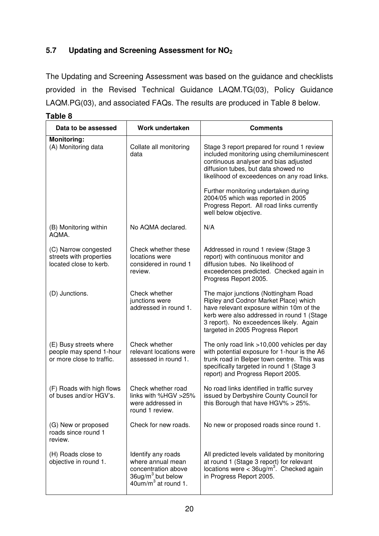# **5.7 Updating and Screening Assessment for NO<sup>2</sup>**

The Updating and Screening Assessment was based on the guidance and checklists provided in the Revised Technical Guidance LAQM.TG(03), Policy Guidance LAQM.PG(03), and associated FAQs. The results are produced in Table 8 below.

| Data to be assessed                                                            | Work undertaken                                                                                                        | <b>Comments</b>                                                                                                                                                                                                                                                  |
|--------------------------------------------------------------------------------|------------------------------------------------------------------------------------------------------------------------|------------------------------------------------------------------------------------------------------------------------------------------------------------------------------------------------------------------------------------------------------------------|
| Monitoring:<br>(A) Monitoring data                                             | Collate all monitoring<br>data                                                                                         | Stage 3 report prepared for round 1 review<br>included monitoring using chemiluminescent<br>continuous analyser and bias adjusted<br>diffusion tubes, but data showed no<br>likelihood of exceedences on any road links.<br>Further monitoring undertaken during |
|                                                                                |                                                                                                                        | 2004/05 which was reported in 2005<br>Progress Report. All road links currently<br>well below objective.                                                                                                                                                         |
| (B) Monitoring within<br>AQMA.                                                 | No AQMA declared.                                                                                                      | N/A                                                                                                                                                                                                                                                              |
| (C) Narrow congested<br>streets with properties<br>located close to kerb.      | Check whether these<br>locations were<br>considered in round 1<br>review.                                              | Addressed in round 1 review (Stage 3<br>report) with continuous monitor and<br>diffusion tubes. No likelihood of<br>exceedences predicted. Checked again in<br>Progress Report 2005.                                                                             |
| (D) Junctions.                                                                 | Check whether<br>junctions were<br>addressed in round 1.                                                               | The major junctions (Nottingham Road<br>Ripley and Codnor Market Place) which<br>have relevant exposure within 10m of the<br>kerb were also addressed in round 1 (Stage<br>3 report). No exceedences likely. Again<br>targeted in 2005 Progress Report           |
| (E) Busy streets where<br>people may spend 1-hour<br>or more close to traffic. | Check whether<br>relevant locations were<br>assessed in round 1.                                                       | The only road link >10,000 vehicles per day<br>with potential exposure for 1-hour is the A6<br>trunk road in Belper town centre. This was<br>specifically targeted in round 1 (Stage 3<br>report) and Progress Report 2005.                                      |
| (F) Roads with high flows<br>of buses and/or HGV's.                            | Check whether road<br>links with %HGV >25%<br>were addressed in<br>round 1 review.                                     | No road links identified in traffic survey<br>issued by Derbyshire County Council for<br>this Borough that have HGV% > 25%.                                                                                                                                      |
| (G) New or proposed<br>roads since round 1<br>review.                          | Check for new roads.                                                                                                   | No new or proposed roads since round 1.                                                                                                                                                                                                                          |
| (H) Roads close to<br>objective in round 1.                                    | Identify any roads<br>where annual mean<br>concentration above<br>$36$ ug/m $3$ but below<br>$40$ um/m $3$ at round 1. | All predicted levels validated by monitoring<br>at round 1 (Stage 3 report) for relevant<br>locations were $\leq$ 36ug/m <sup>3</sup> . Checked again<br>in Progress Report 2005.                                                                                |

**Table 8**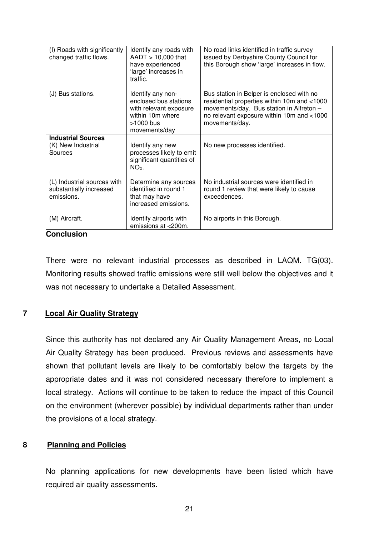| (I) Roads with significantly<br>changed traffic flows.               | Identify any roads with<br>$AADT > 10,000$ that<br>have experienced<br>'large' increases in<br>traffic.                | No road links identified in traffic survey<br>issued by Derbyshire County Council for<br>this Borough show 'large' increases in flow.                                                               |
|----------------------------------------------------------------------|------------------------------------------------------------------------------------------------------------------------|-----------------------------------------------------------------------------------------------------------------------------------------------------------------------------------------------------|
| (J) Bus stations.                                                    | Identify any non-<br>enclosed bus stations<br>with relevant exposure<br>within 10m where<br>>1000 bus<br>movements/day | Bus station in Belper is enclosed with no<br>residential properties within 10m and <1000<br>movements/day. Bus station in Alfreton -<br>no relevant exposure within 10m and <1000<br>movements/day. |
| <b>Industrial Sources</b>                                            |                                                                                                                        |                                                                                                                                                                                                     |
| (K) New Industrial<br>Sources                                        | Identify any new<br>processes likely to emit<br>significant quantities of<br>$NOx$ .                                   | No new processes identified.                                                                                                                                                                        |
| (L) Industrial sources with<br>substantially increased<br>emissions. | Determine any sources<br>identified in round 1<br>that may have<br>increased emissions.                                | No industrial sources were identified in<br>round 1 review that were likely to cause<br>exceedences.                                                                                                |
| (M) Aircraft.                                                        | Identify airports with<br>emissions at <200m.                                                                          | No airports in this Borough.                                                                                                                                                                        |

There were no relevant industrial processes as described in LAQM. TG(03). Monitoring results showed traffic emissions were still well below the objectives and it was not necessary to undertake a Detailed Assessment.

# **7 Local Air Quality Strategy**

Since this authority has not declared any Air Quality Management Areas, no Local Air Quality Strategy has been produced. Previous reviews and assessments have shown that pollutant levels are likely to be comfortably below the targets by the appropriate dates and it was not considered necessary therefore to implement a local strategy. Actions will continue to be taken to reduce the impact of this Council on the environment (wherever possible) by individual departments rather than under the provisions of a local strategy.

#### **8 Planning and Policies**

No planning applications for new developments have been listed which have required air quality assessments.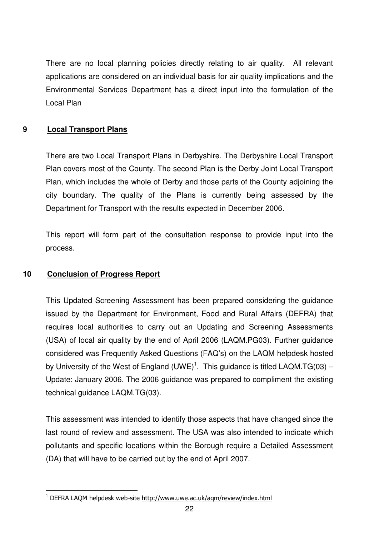There are no local planning policies directly relating to air quality. All relevant applications are considered on an individual basis for air quality implications and the Environmental Services Department has a direct input into the formulation of the Local Plan

# **9 Local Transport Plans**

There are two Local Transport Plans in Derbyshire. The Derbyshire Local Transport Plan covers most of the County. The second Plan is the Derby Joint Local Transport Plan, which includes the whole of Derby and those parts of the County adjoining the city boundary. The quality of the Plans is currently being assessed by the Department for Transport with the results expected in December 2006.

This report will form part of the consultation response to provide input into the process.

#### **10 Conclusion of Progress Report**

This Updated Screening Assessment has been prepared considering the guidance issued by the Department for Environment, Food and Rural Affairs (DEFRA) that requires local authorities to carry out an Updating and Screening Assessments (USA) of local air quality by the end of April 2006 (LAQM.PG03). Further guidance considered was Frequently Asked Questions (FAQ's) on the LAQM helpdesk hosted by University of the West of England (UWE)<sup>1</sup>. This guidance is titled LAQM.TG(03) -Update: January 2006. The 2006 guidance was prepared to compliment the existing technical guidance LAQM.TG(03).

This assessment was intended to identify those aspects that have changed since the last round of review and assessment. The USA was also intended to indicate which pollutants and specific locations within the Borough require a Detailed Assessment (DA) that will have to be carried out by the end of April 2007.

<sup>-</sup><sup>1</sup> DEFRA LAQM helpdesk web-site http://www.uwe.ac.uk/aqm/review/index.html